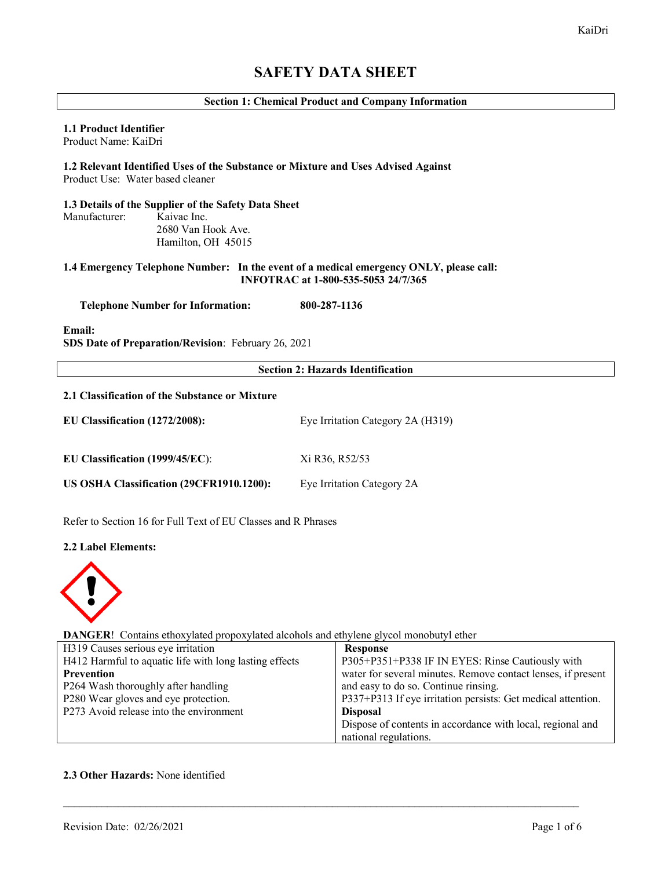# **SAFETY DATA SHEET**

# **Section 1: Chemical Product and Company Information**

# **1.1 Product Identifier**

Product Name: KaiDri

# **1.2 Relevant Identified Uses of the Substance or Mixture and Uses Advised Against** Product Use: Water based cleaner

# **1.3 Details of the Supplier of the Safety Data Sheet** Manufacturer: Kaivac Inc. 2680 Van Hook Ave. Hamilton, OH 45015

# **1.4 Emergency Telephone Number: In the event of a medical emergency ONLY, please call: INFOTRAC at 1-800-535-5053 24/7/365**

 **Telephone Number for Information: 800-287-1136**

**Email:**

**SDS Date of Preparation/Revision**: February 26, 2021

### **Section 2: Hazards Identification**

### **2.1 Classification of the Substance or Mixture**

| EU Classification (1272/2008):           | Eye Irritation Category 2A (H319) |  |  |
|------------------------------------------|-----------------------------------|--|--|
| EU Classification $(1999/45/EC)$ :       | Xi R36, R52/53                    |  |  |
| US OSHA Classification (29CFR1910.1200): | Eye Irritation Category 2A        |  |  |

Refer to Section 16 for Full Text of EU Classes and R Phrases

#### **2.2 Label Elements:**



**DANGER**! Contains ethoxylated propoxylated alcohols and ethylene glycol monobutyl ether

| H319 Causes serious eye irritation                     | <b>Response</b>                                              |
|--------------------------------------------------------|--------------------------------------------------------------|
| H412 Harmful to aquatic life with long lasting effects | P305+P351+P338 IF IN EYES: Rinse Cautiously with             |
| Prevention                                             | water for several minutes. Remove contact lenses, if present |
| P264 Wash thoroughly after handling                    | and easy to do so. Continue rinsing.                         |
| P280 Wear gloves and eye protection.                   | P337+P313 If eye irritation persists: Get medical attention. |
| P273 Avoid release into the environment                | <b>Disposal</b>                                              |
|                                                        | Dispose of contents in accordance with local, regional and   |
|                                                        | national regulations.                                        |
|                                                        |                                                              |

\_\_\_\_\_\_\_\_\_\_\_\_\_\_\_\_\_\_\_\_\_\_\_\_\_\_\_\_\_\_\_\_\_\_\_\_\_\_\_\_\_\_\_\_\_\_\_\_\_\_\_\_\_\_\_\_\_\_\_\_\_\_\_\_\_\_\_\_\_\_\_\_\_\_\_\_\_\_\_\_\_\_\_\_\_\_\_\_\_\_\_\_\_\_

# **2.3 Other Hazards:** None identified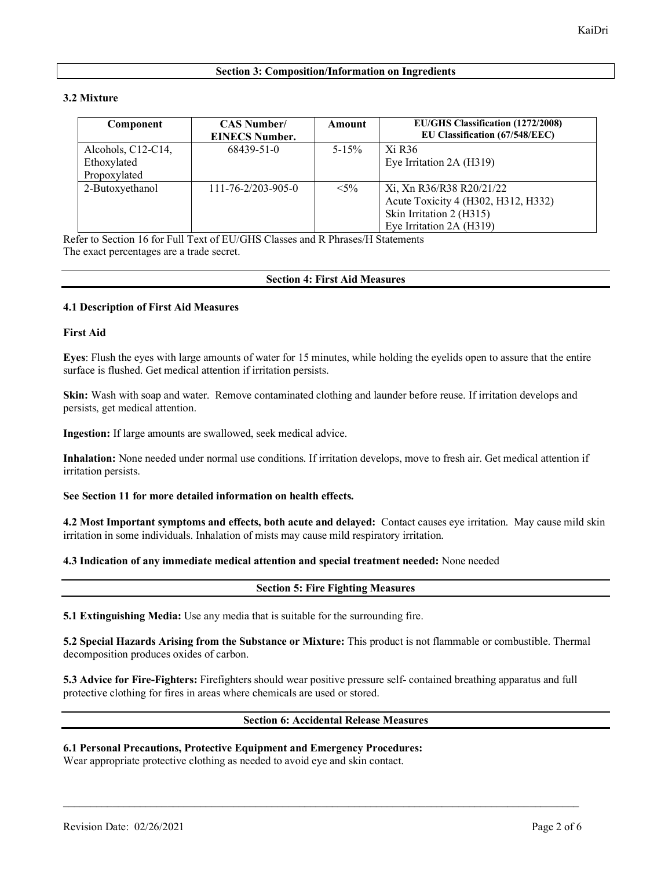# **Section 3: Composition/Information on Ingredients**

# **3.2 Mixture**

| Component          | <b>CAS Number/</b><br><b>EINECS Number.</b> | Amount     | EU/GHS Classification (1272/2008)<br>EU Classification (67/548/EEC) |
|--------------------|---------------------------------------------|------------|---------------------------------------------------------------------|
| Alcohols, C12-C14, | 68439-51-0                                  | $5 - 15\%$ | Xi R <sub>36</sub>                                                  |
| Ethoxylated        |                                             |            | Eye Irritation 2A (H319)                                            |
| Propoxylated       |                                             |            |                                                                     |
| 2-Butoxyethanol    | $111 - 76 - 2/203 - 905 - 0$                | $< 5\%$    | Xi, Xn R36/R38 R20/21/22                                            |
|                    |                                             |            | Acute Toxicity 4 (H302, H312, H332)                                 |
|                    |                                             |            | Skin Irritation 2 (H315)                                            |
|                    |                                             |            | Eye Irritation 2A (H319)                                            |

Refer to Section 16 for Full Text of EU/GHS Classes and R Phrases/H Statements The exact percentages are a trade secret.

# **Section 4: First Aid Measures**

# **4.1 Description of First Aid Measures**

# **First Aid**

**Eyes**: Flush the eyes with large amounts of water for 15 minutes, while holding the eyelids open to assure that the entire surface is flushed. Get medical attention if irritation persists.

**Skin:** Wash with soap and water. Remove contaminated clothing and launder before reuse. If irritation develops and persists, get medical attention.

**Ingestion:** If large amounts are swallowed, seek medical advice.

**Inhalation:** None needed under normal use conditions. If irritation develops, move to fresh air. Get medical attention if irritation persists.

# **See Section 11 for more detailed information on health effects.**

**4.2 Most Important symptoms and effects, both acute and delayed:** Contact causes eye irritation. May cause mild skin irritation in some individuals. Inhalation of mists may cause mild respiratory irritation.

#### **4.3 Indication of any immediate medical attention and special treatment needed:** None needed

# **Section 5: Fire Fighting Measures**

**5.1 Extinguishing Media:** Use any media that is suitable for the surrounding fire.

**5.2 Special Hazards Arising from the Substance or Mixture:** This product is not flammable or combustible. Thermal decomposition produces oxides of carbon.

**5.3 Advice for Fire-Fighters:** Firefighters should wear positive pressure self- contained breathing apparatus and full protective clothing for fires in areas where chemicals are used or stored.

\_\_\_\_\_\_\_\_\_\_\_\_\_\_\_\_\_\_\_\_\_\_\_\_\_\_\_\_\_\_\_\_\_\_\_\_\_\_\_\_\_\_\_\_\_\_\_\_\_\_\_\_\_\_\_\_\_\_\_\_\_\_\_\_\_\_\_\_\_\_\_\_\_\_\_\_\_\_\_\_\_\_\_\_\_\_\_\_\_\_\_\_\_\_

# **Section 6: Accidental Release Measures**

# **6.1 Personal Precautions, Protective Equipment and Emergency Procedures:**

Wear appropriate protective clothing as needed to avoid eye and skin contact.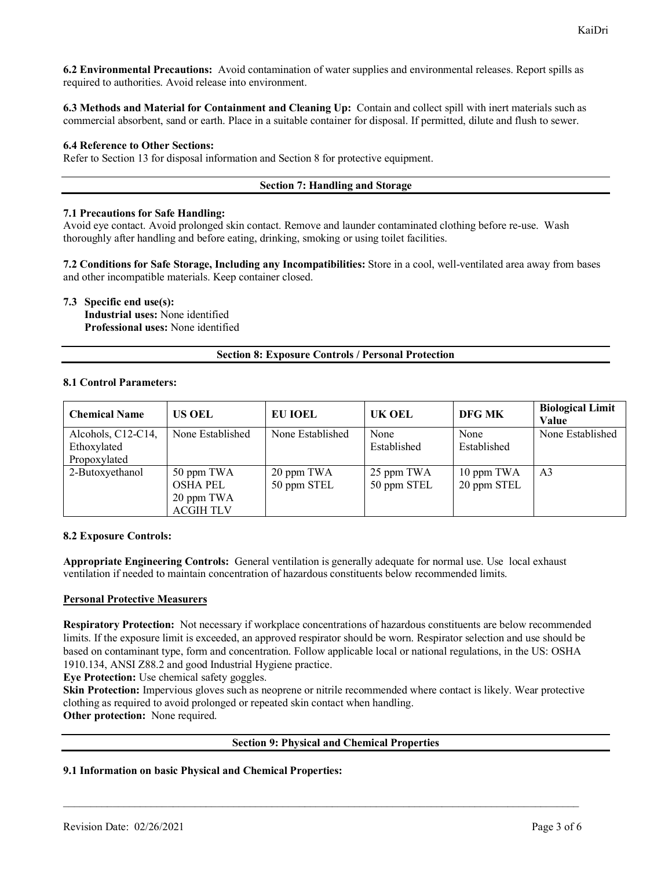**6.2 Environmental Precautions:** Avoid contamination of water supplies and environmental releases. Report spills as required to authorities. Avoid release into environment.

**6.3 Methods and Material for Containment and Cleaning Up:** Contain and collect spill with inert materials such as commercial absorbent, sand or earth. Place in a suitable container for disposal. If permitted, dilute and flush to sewer.

### **6.4 Reference to Other Sections:**

Refer to Section 13 for disposal information and Section 8 for protective equipment.

#### **Section 7: Handling and Storage**

#### **7.1 Precautions for Safe Handling:**

Avoid eye contact. Avoid prolonged skin contact. Remove and launder contaminated clothing before re-use. Wash thoroughly after handling and before eating, drinking, smoking or using toilet facilities.

**7.2 Conditions for Safe Storage, Including any Incompatibilities:** Store in a cool, well-ventilated area away from bases and other incompatible materials. Keep container closed.

**7.3 Specific end use(s): Industrial uses:** None identified **Professional uses:** None identified

#### **Section 8: Exposure Controls / Personal Protection**

#### **8.1 Control Parameters:**

| <b>Chemical Name</b>                              | <b>US OEL</b>                                                   | <b>EU IOEL</b>            | UK OEL                    | <b>DFG MK</b>             | <b>Biological Limit</b><br>Value |
|---------------------------------------------------|-----------------------------------------------------------------|---------------------------|---------------------------|---------------------------|----------------------------------|
| Alcohols, C12-C14,<br>Ethoxylated<br>Propoxylated | None Established                                                | None Established          | None<br>Established       | None<br>Established       | None Established                 |
| 2-Butoxyethanol                                   | 50 ppm TWA<br><b>OSHA PEL</b><br>20 ppm TWA<br><b>ACGIH TLV</b> | 20 ppm TWA<br>50 ppm STEL | 25 ppm TWA<br>50 ppm STEL | 10 ppm TWA<br>20 ppm STEL | A <sub>3</sub>                   |

# **8.2 Exposure Controls:**

**Appropriate Engineering Controls:** General ventilation is generally adequate for normal use. Use local exhaust ventilation if needed to maintain concentration of hazardous constituents below recommended limits.

#### **Personal Protective Measurers**

**Respiratory Protection:** Not necessary if workplace concentrations of hazardous constituents are below recommended limits. If the exposure limit is exceeded, an approved respirator should be worn. Respirator selection and use should be based on contaminant type, form and concentration. Follow applicable local or national regulations, in the US: OSHA 1910.134, ANSI Z88.2 and good Industrial Hygiene practice.

**Eye Protection:** Use chemical safety goggles.

Skin Protection: Impervious gloves such as neoprene or nitrile recommended where contact is likely. Wear protective clothing as required to avoid prolonged or repeated skin contact when handling. **Other protection:** None required.

# **Section 9: Physical and Chemical Properties**

\_\_\_\_\_\_\_\_\_\_\_\_\_\_\_\_\_\_\_\_\_\_\_\_\_\_\_\_\_\_\_\_\_\_\_\_\_\_\_\_\_\_\_\_\_\_\_\_\_\_\_\_\_\_\_\_\_\_\_\_\_\_\_\_\_\_\_\_\_\_\_\_\_\_\_\_\_\_\_\_\_\_\_\_\_\_\_\_\_\_\_\_\_\_

#### **9.1 Information on basic Physical and Chemical Properties:**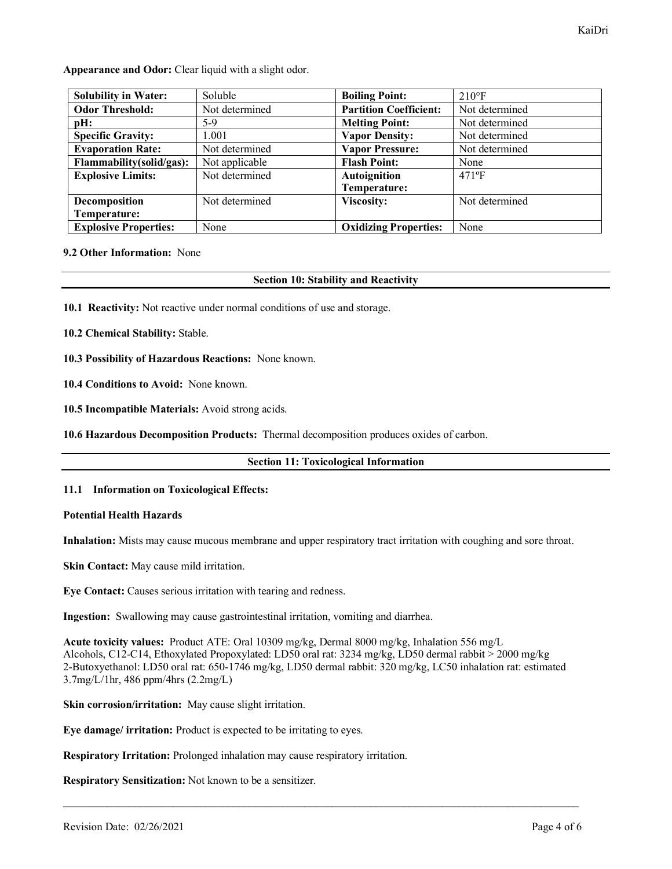**Appearance and Odor:** Clear liquid with a slight odor.

| <b>Solubility in Water:</b>  | Soluble        | <b>Boiling Point:</b>         | $210^{\circ}F$ |
|------------------------------|----------------|-------------------------------|----------------|
| <b>Odor Threshold:</b>       | Not determined | <b>Partition Coefficient:</b> | Not determined |
| pH:                          | 5-9            | <b>Melting Point:</b>         | Not determined |
| <b>Specific Gravity:</b>     | 1.001          | <b>Vapor Density:</b>         | Not determined |
| <b>Evaporation Rate:</b>     | Not determined | <b>Vapor Pressure:</b>        | Not determined |
| Flammability(solid/gas):     | Not applicable | <b>Flash Point:</b>           | None           |
| <b>Explosive Limits:</b>     | Not determined | <b>Autoignition</b>           | $471$ °F       |
|                              |                | Temperature:                  |                |
| Decomposition                | Not determined | <b>Viscosity:</b>             | Not determined |
| Temperature:                 |                |                               |                |
| <b>Explosive Properties:</b> | None           | <b>Oxidizing Properties:</b>  | None           |

# **9.2 Other Information:** None

# **Section 10: Stability and Reactivity**

**10.1 Reactivity:** Not reactive under normal conditions of use and storage.

**10.2 Chemical Stability:** Stable.

**10.3 Possibility of Hazardous Reactions:** None known.

**10.4 Conditions to Avoid:** None known.

**10.5 Incompatible Materials:** Avoid strong acids.

**10.6 Hazardous Decomposition Products:** Thermal decomposition produces oxides of carbon.

#### **Section 11: Toxicological Information**

#### **11.1 Information on Toxicological Effects:**

#### **Potential Health Hazards**

**Inhalation:** Mists may cause mucous membrane and upper respiratory tract irritation with coughing and sore throat.

**Skin Contact:** May cause mild irritation.

**Eye Contact:** Causes serious irritation with tearing and redness.

**Ingestion:** Swallowing may cause gastrointestinal irritation, vomiting and diarrhea.

**Acute toxicity values:** Product ATE: Oral 10309 mg/kg, Dermal 8000 mg/kg, Inhalation 556 mg/L Alcohols, C12-C14, Ethoxylated Propoxylated: LD50 oral rat: 3234 mg/kg, LD50 dermal rabbit > 2000 mg/kg 2-Butoxyethanol: LD50 oral rat: 650-1746 mg/kg, LD50 dermal rabbit: 320 mg/kg, LC50 inhalation rat: estimated 3.7mg/L/1hr, 486 ppm/4hrs (2.2mg/L)

\_\_\_\_\_\_\_\_\_\_\_\_\_\_\_\_\_\_\_\_\_\_\_\_\_\_\_\_\_\_\_\_\_\_\_\_\_\_\_\_\_\_\_\_\_\_\_\_\_\_\_\_\_\_\_\_\_\_\_\_\_\_\_\_\_\_\_\_\_\_\_\_\_\_\_\_\_\_\_\_\_\_\_\_\_\_\_\_\_\_\_\_\_\_

**Skin corrosion/irritation:** May cause slight irritation.

**Eye damage/ irritation:** Product is expected to be irritating to eyes.

**Respiratory Irritation:** Prolonged inhalation may cause respiratory irritation.

**Respiratory Sensitization:** Not known to be a sensitizer.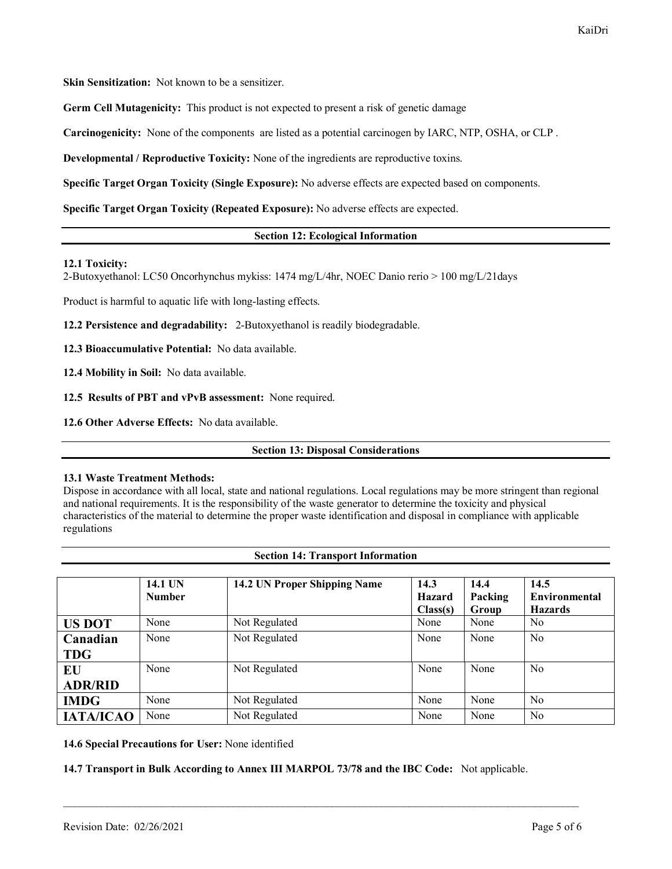**Skin Sensitization:** Not known to be a sensitizer.

**Germ Cell Mutagenicity:** This product is not expected to present a risk of genetic damage

**Carcinogenicity:** None of the components are listed as a potential carcinogen by IARC, NTP, OSHA, or CLP .

**Developmental / Reproductive Toxicity:** None of the ingredients are reproductive toxins.

**Specific Target Organ Toxicity (Single Exposure):** No adverse effects are expected based on components.

**Specific Target Organ Toxicity (Repeated Exposure):** No adverse effects are expected.

# **Section 12: Ecological Information**

#### **12.1 Toxicity:**

2-Butoxyethanol: LC50 Oncorhynchus mykiss: 1474 mg/L/4hr, NOEC Danio rerio > 100 mg/L/21days

Product is harmful to aquatic life with long-lasting effects.

**12.2 Persistence and degradability:** 2-Butoxyethanol is readily biodegradable.

**12.3 Bioaccumulative Potential:** No data available.

**12.4 Mobility in Soil:** No data available.

**12.5 Results of PBT and vPvB assessment:** None required.

**12.6 Other Adverse Effects:** No data available.

**Section 13: Disposal Considerations**

#### **13.1 Waste Treatment Methods:**

Dispose in accordance with all local, state and national regulations. Local regulations may be more stringent than regional and national requirements. It is the responsibility of the waste generator to determine the toxicity and physical characteristics of the material to determine the proper waste identification and disposal in compliance with applicable regulations

**Section 14: Transport Information**

|                  | 14.1 UN       | 14.2 UN Proper Shipping Name | 14.3          | 14.4    | 14.5                 |
|------------------|---------------|------------------------------|---------------|---------|----------------------|
|                  | <b>Number</b> |                              | <b>Hazard</b> | Packing | <b>Environmental</b> |
|                  |               |                              | Class(s)      | Group   | <b>Hazards</b>       |
| <b>US DOT</b>    | None          | Not Regulated                | None          | None    | No                   |
| Canadian         | None          | Not Regulated                | None          | None    | N <sub>0</sub>       |
| <b>TDG</b>       |               |                              |               |         |                      |
| EU               | None          | Not Regulated                | None          | None    | N <sub>0</sub>       |
| <b>ADR/RID</b>   |               |                              |               |         |                      |
| <b>IMDG</b>      | None          | Not Regulated                | None          | None    | N <sub>0</sub>       |
| <b>IATA/ICAO</b> | None          | Not Regulated                | None          | None    | N <sub>0</sub>       |

**14.6 Special Precautions for User:** None identified

**14.7 Transport in Bulk According to Annex III MARPOL 73/78 and the IBC Code:** Not applicable.

\_\_\_\_\_\_\_\_\_\_\_\_\_\_\_\_\_\_\_\_\_\_\_\_\_\_\_\_\_\_\_\_\_\_\_\_\_\_\_\_\_\_\_\_\_\_\_\_\_\_\_\_\_\_\_\_\_\_\_\_\_\_\_\_\_\_\_\_\_\_\_\_\_\_\_\_\_\_\_\_\_\_\_\_\_\_\_\_\_\_\_\_\_\_